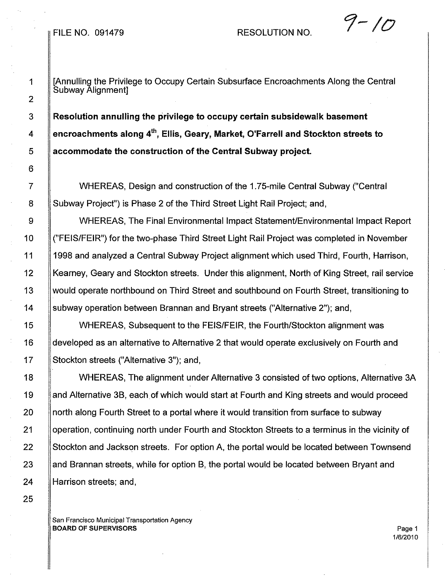## FILE NO. 091479 RESOLUTION NO. **1-10**

1 | [Annulling the Privilege to Occupy Certain Subsurface Encroachments Along the Central Subway Alignment]

3 Resolution annulling the privilege to occupy certain subsidewalk basement 4  $\parallel$  encroachments along 4<sup>th</sup>, Ellis, Geary, Market, O'Farrell and Stockton streets to 5 accommodate the construction of the Central Subway project.

7 WHEREAS, Design and construction of the 1.75-mile Central Subway ("Central 8 Subway Project") is Phase 2 of the Third Street Light Rail Project; and,

9  $\parallel$  WHEREAS, The Final Environmental Impact Statement/Environmental Impact Report 10 ("FEIS/FEIR") for the two-phase Third Street Light Rail Project was completed in November 11 1998 and analyzed a Central Subway Project alignment which used Third, Fourth, Harrison, 12 Kearney, Geary and Stockton streets. Under this alignment, North of King Street, rail service 13 would operate northbound on Third Street and southbound on Fourth Street, transitioning to 14 subway operation between Brannan and Bryant streets ("Alternative 2"); and,

15 | WHEREAS, Subsequent to the FEIS/FEIR, the Fourth/Stockton alignment was 16 developed as an alternative to Alternative 2 that would operate exclusively on Fourth and 17 Stockton streets ("Alternative 3"); and,

18 WHEREAS, The alignment under Alternative 3 consisted of two options, Alternative 3A 19 and Alternative 3B, each of which would start at Fourth and King streets and would proceed 20 **If north along Fourth Street to a portal where it would transition from surface to subway** 21 | operation, continuing north under Fourth and Stockton Streets to a terminus in the vicinity of 22 Stockton and Jackson streets. For option A, the portal would be located between Townsend 23 and Brannan streets, while for option B, the portal would be located between Bryant and 24 **Harrison streets**; and,

San Francisco Municipal Transportation Agency **BOARD OF SUPERVISORS** Page 1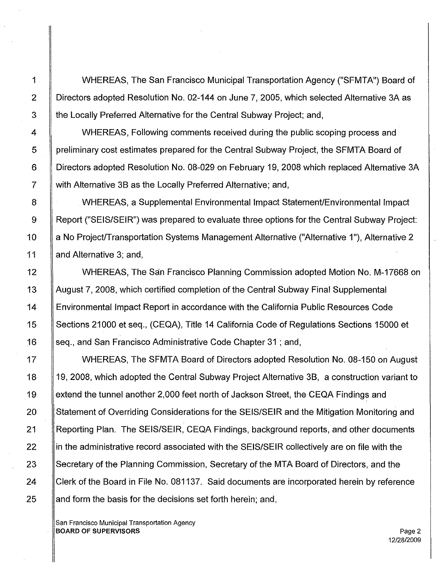1 WHEREAS, The San Francisco Municipal Transportation Agency ("SFMTA") Board of 2 Directors adopted Resolution No. 02-144 on June 7,2005, which selected Alternative 3A as 3 | the Locally Preferred Alternative for the Central Subway Project; and,

4 **WHEREAS, Following comments received during the public scoping process and** 5 preliminary cost estimates prepared for the Central Subway Project, the SFMTA Board of 6 Directors adopted Resolution No. 08-029 on February 19, 2008 which replaced Alternative 3A 7 with Alternative 3B as the Locally Preferred Alternative; and,

8 WHEREAS, a Supplemental Environmental Impact Statement/Environmental Impact 9 Report ("SEIS/SEIR") was prepared to evaluate three options for the Central Subway Project: 10 | a No Project/Transportation Systems Management Alternative ("Alternative 1"), Alternative 2 11 || and Alternative 3; and,

12 | WHEREAS, The San Francisco Planning Commission adopted Motion No. M-17668 on 13 August 7, 2008, which certified completion of the Central Subway Final Supplemental 14 Environmental Impact Report in accordance with the California Public Resources Code 15 | Sections 21000 et seq., (CEQA), Title 14 California Code of Regulations Sections 15000 et 16 Seq., and San Francisco Administrative Code Chapter 31; and,

17 WHEREAS, The SFMTA Board of Directors adopted Resolution No. 08-150 on August 18 19, 2008, which adopted the Central Subway Project Alternative 3B, a construction variant to 19 Sextend the tunnel another 2,000 feet north of Jackson Street, the CEQA Findings and 20 Statement of Overriding Considerations for the SEIS/SEIR and the Mitigation Monitoring and 21 Reporting Plan. The SEIS/SEIR, CEQA Findings, background reports, and other documents 22 in the administrative record associated with the SEIS/SEIR collectively are on file with the 23 Secretary of the Planning Commission, Secretary of the MTA Board of Directors, and the 24 Clerk of the Board in File No. 081137. Said documents are incorporated herein by reference  $25$  and form the basis for the decisions set forth herein; and,

San Francisco Municipal Transportation Agency BOARD OF SUPERVISORS And the state of the state of the state of the state of the state of the state of the state of the state of the state of the state of the state of the state of the state of the state of the state of th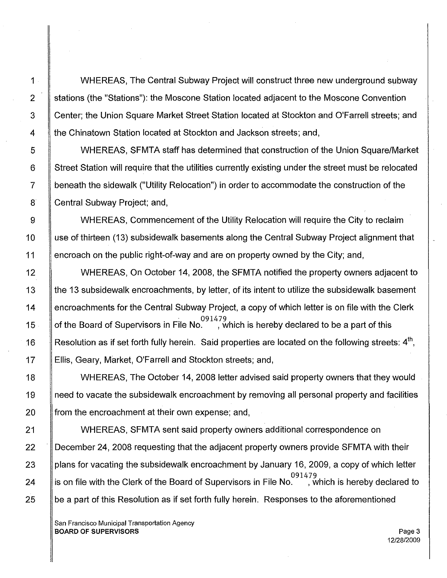WHEREAS, The Central Subway Project will construct three new underground subway stations (the "Stations"): the Moscone Station located adjacent to the Moscone Convention Center; the Union Square Market Street Station located at Stockton and O'Farrell streets; and the Chinatown Station located at Stockton and Jackson streets; and,

WHEREAS, SFMTA staff has determined that construction of the Union Square/Market Street Station will require that the utilities currently existing under the street must be relocated beneath the sidewalk ("Utility Relocation") in order to accommodate the construction of the Central Subway Project; and,

WHEREAS, Commencement of the Utility Relocation will require the City to reclaim use of thirteen (13) subsidewalk basements along the Central Subway Project alignment that encroach on the public right-of-way and are on property owned by the City; and,

WHEREAS, On October 14, 2008, the SFMTA notified the property owners adjacent to the 13 subsidewalk encroachments, by letter, of its intent to utilize the subsidewalk basement encroachments for the Central Subway Project, a copy of which letter is on file with the Clerk of the Board of Supervisors in File No. . . , which is hereby declared to be a part of this Resolution as if set forth fully herein. Said properties are located on the following streets:  $4<sup>th</sup>$ , Ellis, Geary, Market, O'Farrell and Stockton streets; and,

WHEREAS, The October 14, 2008 letter advised said property owners that they would need to vacate the subsidewalk encroachment by removing all personal property and facilities from the encroachment at their own expense; and,

WHEREAS, SFMTA sent said property owners additional correspondence on December 24, 2008 requesting that the adjacent property owners provide SFMTA with their plans for vacating the subsidewalk encroachment by January 16, 2009, a copy of which letter which is hereby declared to is on file with the Clerk of the Board of Supervisors in File No. be a part of this Resolution as if set forth fully herein. Responses to the aforementioned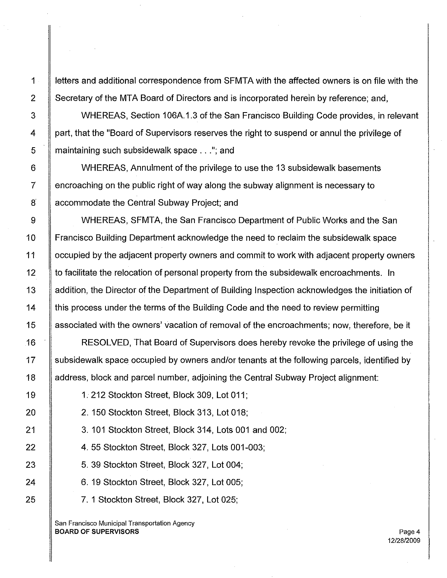1 | letters and additional correspondence from SFMTA with the affected owners is on file with the 2 Secretary of the MTA Board of Directors and is incorporated herein by reference; and,

3 WHEREAS, Section 106A.1.3 of the San Francisco Building Code provides, in relevant 4 | part, that the "Board of Supervisors reserves the right to suspend or annul the privilege of 5 **maintaining such subsidewalk space ..."; and** 

6 WHEREAS, Annulment of the privilege to use the 13 subsidewalk basements  $7 \parallel$  encroaching on the public right of way along the subway alignment is necessary to 8 | accommodate the Central Subway Project; and

9 | WHEREAS, SFMTA, the San Francisco Department of Public Works and the San 10 Francisco Building Department acknowledge the need to reclaim the subsidewalk space 11 | occupied by the adjacent property owners and commit to work with adjacent property owners 12 | to facilitate the relocation of personal property from the subsidewalk encroachments. In 13 **Addition, the Director of the Department of Building Inspection acknowledges the initiation of** 14 | this process under the terms of the Building Code and the need to review permitting 15 associated with the owners' vacation of removal of the encroachments; now, therefore, be it

16 RESOLVED, That Board of Supervisors does hereby revoke the privilege of using the 17 Subsidewalk space occupied by owners and/or tenants at the following parcels, identified by 18 address, block and parcel number, adjoining the Central Subway Project alignment:

19 1. 212 Stockton Street, Block 309, Lot 011;

20 2. 150 Stockton Street, Block 313, Lot 018;

21 3.101 Stockton Street, Block 314, Lots 001 and 002;

22 4. 55 Stockton Street, Block 327, Lots 001-003;

23 | 5. 39 Stockton Street, Block 327, Lot 004;

24 6. 19 Stockton Street, Block 327, Lot 005;

25 7. 1 Stockton Street, Block 327, Lot 025;

San Francisco Municipal Transportation Agency BOARD OF SUPERVISORS AND RESERVE AND RESERVE AND RESERVE AND RESERVE AND RESERVE AND RESERVE AND RESERVE AND RESERVE AND RESERVE AND RESERVE AND RESERVE AND RESERVE AND RESERVE AND RESERVE AND RESERVE AND RESERVE AND RESER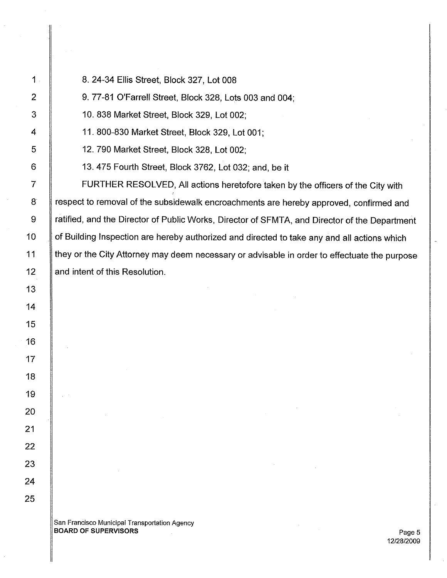8.24-34 Ellis Street, Block 327, Lot 008

9.77-81 O'Farrell Street, Block 328, Lots 003 and 004;

10.838 Market Street, Block 329, Lot 002;

11. 800-830 Market Street, Block 329, Lot 001;

12.790 Market Street, Block 328, Lot 002;

13.475 Fourth Street, Block 3762, Lot 032; and, be it

**FURTHER RESOLVED, All actions heretofore taken by the officers of the City with** 8 | respect to removal of the subsidewalk encroachments are hereby approved, confirmed and 9 ratified, and the Director of Public Works, Director of SFMTA, and Director of the Department 10 | of Building Inspection are hereby authorized and directed to take any and all actions which 11 If they or the City Attorney may deem necessary or advisable in order to effectuate the purpose 12 | and intent of this Resolution.

San Francisco Municipal Transportation Agency BOARD OF SUPERVISORS And the state of the state of the state of the state of the state of the state of the state of the state of the state of the state of the state of the state of the state of the state of the state of th

12/28/2009